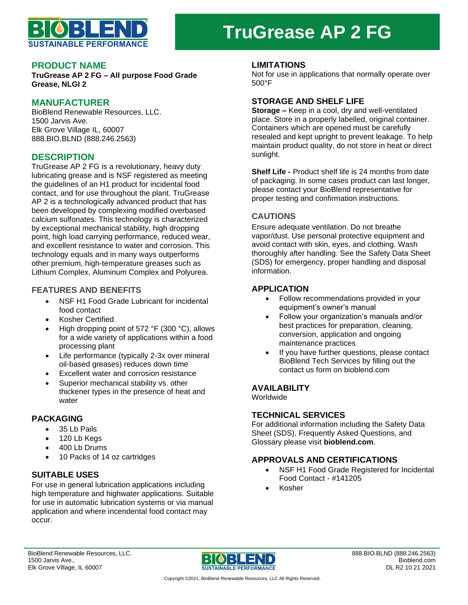

# **TruGrease AP 2 FG**

### **PRODUCT NAME**

**TruGrease AP 2 FG – All purpose Food Grade Grease, NLGI 2**

# **MANUFACTURER**

BioBlend Renewable Resources, LLC. 1500 Jarvis Ave. Elk Grove Village IL, 60007 888.BIO.BLND (888.246.2563)

# **DESCRIPTION**

TruGrease AP 2 FG is a revolutionary, heavy duty lubricating grease and is NSF registered as meeting the guidelines of an H1 product for incidental food contact, and for use throughout the plant. TruGrease AP 2 is a technologically advanced product that has been developed by complexing modified overbased calcium sulfonates. This technology is characterized by exceptional mechanical stability, high dropping point, high load carrying performance, reduced wear, and excellent resistance to water and corrosion. This technology equals and in many ways outperforms other premium, high-temperature greases such as Lithium Complex, Aluminum Complex and Polyurea.

# **FEATURES AND BENEFITS**

- NSF H1 Food Grade Lubricant for incidental food contact
- Kosher Certified
- High dropping point of 572 °F (300 °C), allows for a wide variety of applications within a food processing plant
- Life performance (typically 2-3x over mineral oil-based greases) reduces down time
- Excellent water and corrosion resistance
- Superior mechanical stability vs. other thickener types in the presence of heat and water

# **PACKAGING**

- 35 Lb Pails
- 120 Lb Kegs
- 400 Lb Drums
- 10 Packs of 14 oz cartridges

# **SUITABLE USES**

For use in general lubrication applications including high temperature and highwater applications. Suitable for use in automatic lubrication systems or via manual application and where incendental food contact may occur.

#### **LIMITATIONS**

Not for use in applications that normally operate over 500°F

#### **STORAGE AND SHELF LIFE**

**Storage –** Keep in a cool, dry and well-ventilated place. Store in a properly labelled, original container. Containers which are opened must be carefully resealed and kept upright to prevent leakage. To help maintain product quality, do not store in heat or direct sunlight.

**Shelf Life -** Product shelf life is 24 months from date of packaging. In some cases product can last longer, please contact your BioBlend representative for proper testing and confirmation instructions.

# **CAUTIONS**

Ensure adequate ventilation. Do not breathe vapor/dust. Use personal protective equipment and avoid contact with skin, eyes, and clothing. Wash thoroughly after handling. See the Safety Data Sheet (SDS) for emergency, proper handling and disposal information.

# **APPLICATION**

- Follow recommendations provided in your equipment's owner's manual
- Follow your organization's manuals and/or best practices for preparation, cleaning, conversion, application and ongoing maintenance practices
- If you have further questions, please contact BioBlend Tech Services by filling out the contact us form on bioblend.com

# **AVAILABILITY**

**Worldwide** 

#### **TECHNICAL SERVICES**

For additional information including the Safety Data Sheet (SDS), Frequently Asked Questions, and Glossary please visit **bioblend.com**.

# **APPROVALS AND CERTIFICATIONS**

- NSF H1 Food Grade Registered for Incidental Food Contact - #141205
- Kosher